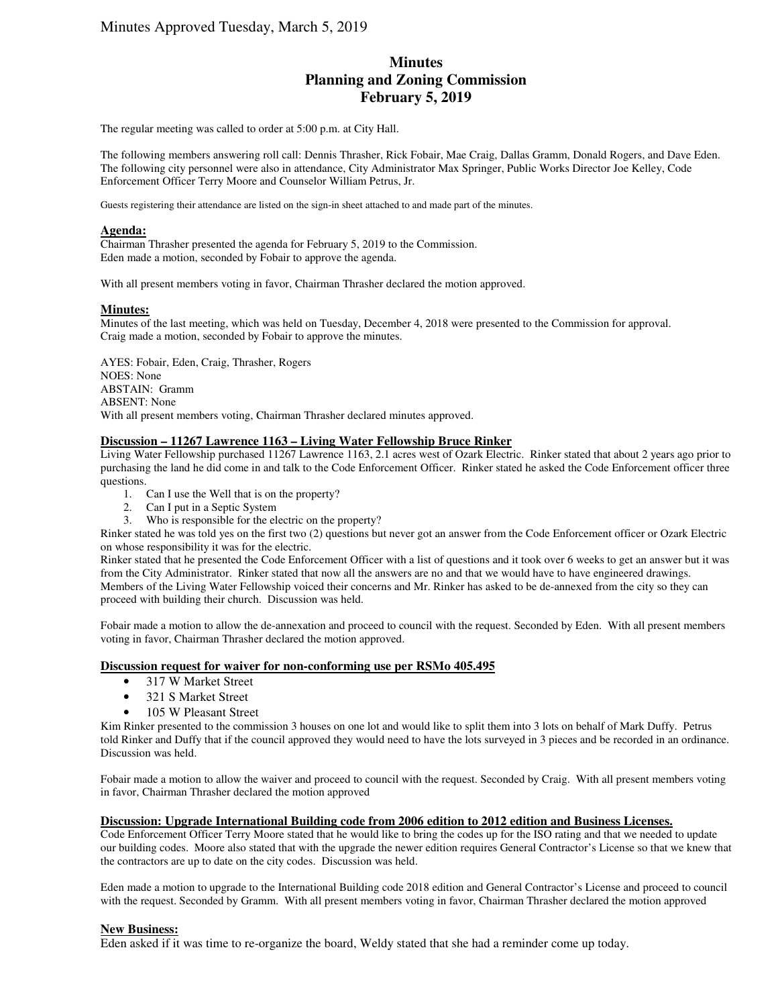# Minutes Approved Tuesday, March 5, 2019

# **Minutes Planning and Zoning Commission February 5, 2019**

The regular meeting was called to order at 5:00 p.m. at City Hall.

The following members answering roll call: Dennis Thrasher, Rick Fobair, Mae Craig, Dallas Gramm, Donald Rogers, and Dave Eden. The following city personnel were also in attendance, City Administrator Max Springer, Public Works Director Joe Kelley, Code Enforcement Officer Terry Moore and Counselor William Petrus, Jr.

Guests registering their attendance are listed on the sign-in sheet attached to and made part of the minutes.

#### **Agenda:**

Chairman Thrasher presented the agenda for February 5, 2019 to the Commission. Eden made a motion, seconded by Fobair to approve the agenda.

With all present members voting in favor, Chairman Thrasher declared the motion approved.

#### **Minutes:**

Minutes of the last meeting, which was held on Tuesday, December 4, 2018 were presented to the Commission for approval. Craig made a motion, seconded by Fobair to approve the minutes.

AYES: Fobair, Eden, Craig, Thrasher, Rogers NOES: None ABSTAIN: Gramm ABSENT: None With all present members voting, Chairman Thrasher declared minutes approved.

#### **Discussion – 11267 Lawrence 1163 – Living Water Fellowship Bruce Rinker**

Living Water Fellowship purchased 11267 Lawrence 1163, 2.1 acres west of Ozark Electric. Rinker stated that about 2 years ago prior to purchasing the land he did come in and talk to the Code Enforcement Officer. Rinker stated he asked the Code Enforcement officer three questions.

- 1. Can I use the Well that is on the property?
- 2. Can I put in a Septic System
- 3. Who is responsible for the electric on the property?

Rinker stated he was told yes on the first two (2) questions but never got an answer from the Code Enforcement officer or Ozark Electric on whose responsibility it was for the electric.

Rinker stated that he presented the Code Enforcement Officer with a list of questions and it took over 6 weeks to get an answer but it was from the City Administrator. Rinker stated that now all the answers are no and that we would have to have engineered drawings. Members of the Living Water Fellowship voiced their concerns and Mr. Rinker has asked to be de-annexed from the city so they can proceed with building their church. Discussion was held.

Fobair made a motion to allow the de-annexation and proceed to council with the request. Seconded by Eden. With all present members voting in favor, Chairman Thrasher declared the motion approved.

#### **Discussion request for waiver for non-conforming use per RSMo 405.495**

- 317 W Market Street
- 321 S Market Street
- 105 W Pleasant Street

Kim Rinker presented to the commission 3 houses on one lot and would like to split them into 3 lots on behalf of Mark Duffy. Petrus told Rinker and Duffy that if the council approved they would need to have the lots surveyed in 3 pieces and be recorded in an ordinance. Discussion was held.

Fobair made a motion to allow the waiver and proceed to council with the request. Seconded by Craig. With all present members voting in favor, Chairman Thrasher declared the motion approved

#### **Discussion: Upgrade International Building code from 2006 edition to 2012 edition and Business Licenses.**

Code Enforcement Officer Terry Moore stated that he would like to bring the codes up for the ISO rating and that we needed to update our building codes. Moore also stated that with the upgrade the newer edition requires General Contractor's License so that we knew that the contractors are up to date on the city codes. Discussion was held.

Eden made a motion to upgrade to the International Building code 2018 edition and General Contractor's License and proceed to council with the request. Seconded by Gramm. With all present members voting in favor, Chairman Thrasher declared the motion approved

#### **New Business:**

Eden asked if it was time to re-organize the board, Weldy stated that she had a reminder come up today.